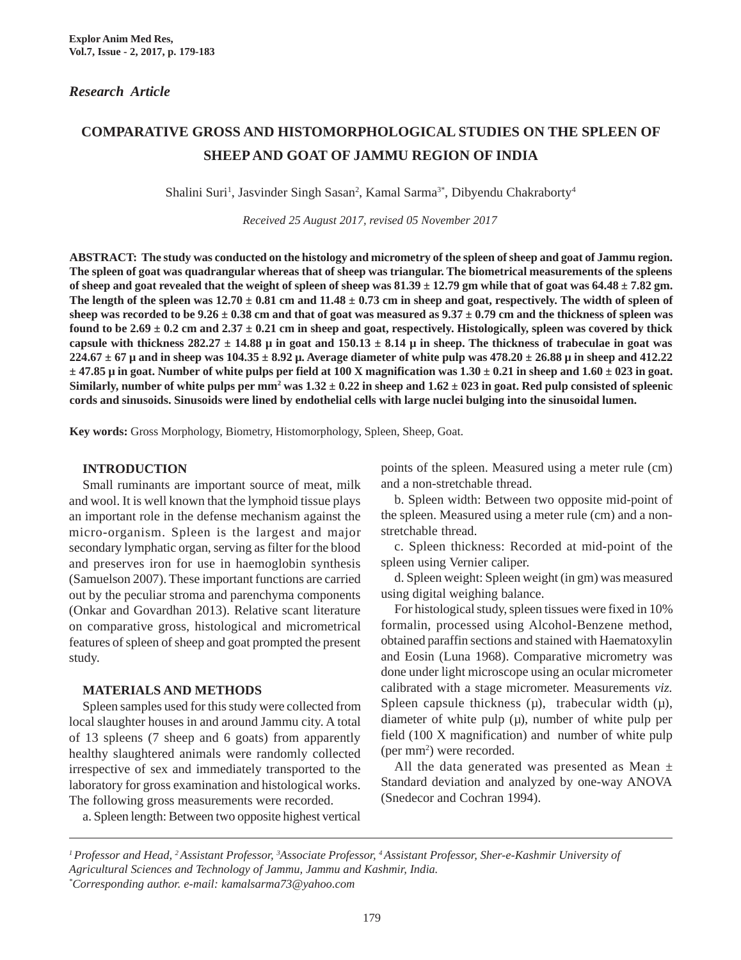# **COMPARATIVE GROSS AND HISTOMORPHOLOGICAL STUDIES ON THE SPLEEN OF SHEEP AND GOAT OF JAMMU REGION OF INDIA**

Shalini Suri<sup>1</sup>, Jasvinder Singh Sasan<sup>2</sup>, Kamal Sarma<sup>3\*</sup>, Dibyendu Chakraborty<sup>4</sup>

*Received 25 August 2017, revised 05 November 2017*

**ABSTRACT: The study was conducted on the histology and micrometry of the spleen of sheep and goat of Jammu region. The spleen of goat was quadrangular whereas that of sheep was triangular. The biometrical measurements of the spleens of sheep and goat revealed that the weight of spleen of sheep was 81.39 ± 12.79 gm while that of goat was 64.48 ± 7.82 gm.** The length of the spleen was  $12.70 \pm 0.81$  cm and  $11.48 \pm 0.73$  cm in sheep and goat, respectively. The width of spleen of sheep was recorded to be  $9.26 \pm 0.38$  cm and that of goat was measured as  $9.37 \pm 0.79$  cm and the thickness of spleen was found to be  $2.69 \pm 0.2$  cm and  $2.37 \pm 0.21$  cm in sheep and goat, respectively. Histologically, spleen was covered by thick capsule with thickness  $282.27 \pm 14.88 \mu$  in goat and  $150.13 \pm 8.14 \mu$  in sheep. The thickness of trabeculae in goat was **224.67**  $\pm$  67  $\mu$  and in sheep was 104.35  $\pm$  8.92  $\mu$ . Average diameter of white pulp was 478.20  $\pm$  26.88  $\mu$  in sheep and 412.22 **± 47.85 µ in goat. Number of white pulps per field at 100 X magnification was 1.30 ± 0.21 in sheep and 1.60 ± 023 in goat.** Similarly, number of white pulps per mm<sup>2</sup> was  $1.32 \pm 0.22$  in sheep and  $1.62 \pm 023$  in goat. Red pulp consisted of spleenic **cords and sinusoids. Sinusoids were lined by endothelial cells with large nuclei bulging into the sinusoidal lumen.**

**Key words:** Gross Morphology, Biometry, Histomorphology, Spleen, Sheep, Goat.

### **INTRODUCTION**

Small ruminants are important source of meat, milk and wool. It is well known that the lymphoid tissue plays an important role in the defense mechanism against the micro-organism. Spleen is the largest and major secondary lymphatic organ, serving as filter for the blood and preserves iron for use in haemoglobin synthesis (Samuelson 2007). These important functions are carried out by the peculiar stroma and parenchyma components (Onkar and Govardhan 2013). Relative scant literature on comparative gross, histological and micrometrical features of spleen of sheep and goat prompted the present study.

### **MATERIALS AND METHODS**

Spleen samples used for this study were collected from local slaughter houses in and around Jammu city. A total of 13 spleens (7 sheep and 6 goats) from apparently healthy slaughtered animals were randomly collected irrespective of sex and immediately transported to the laboratory for gross examination and histological works. The following gross measurements were recorded.

points of the spleen. Measured using a meter rule (cm) and a non-stretchable thread.

b. Spleen width: Between two opposite mid-point of the spleen. Measured using a meter rule (cm) and a nonstretchable thread.

c. Spleen thickness: Recorded at mid-point of the spleen using Vernier caliper.

d. Spleen weight: Spleen weight (in gm) was measured using digital weighing balance.

For histological study, spleen tissues were fixed in 10% formalin, processed using Alcohol-Benzene method, obtained paraffin sections and stained with Haematoxylin and Eosin (Luna 1968). Comparative micrometry was done under light microscope using an ocular micrometer calibrated with a stage micrometer. Measurements *viz.* Spleen capsule thickness  $(\mu)$ , trabecular width  $(\mu)$ , diameter of white pulp  $(\mu)$ , number of white pulp per field (100 X magnification) and number of white pulp (per mm2 ) were recorded.

All the data generated was presented as Mean  $\pm$ Standard deviation and analyzed by one-way ANOVA (Snedecor and Cochran 1994).

a. Spleen length: Between two opposite highest vertical

*\* Corresponding author. e-mail: kamalsarma73@yahoo.com*

*<sup>1</sup> Professor and Head, 2 Assistant Professor, 3 Associate Professor, 4 Assistant Professor, Sher-e-Kashmir University of Agricultural Sciences and Technology of Jammu, Jammu and Kashmir, India.*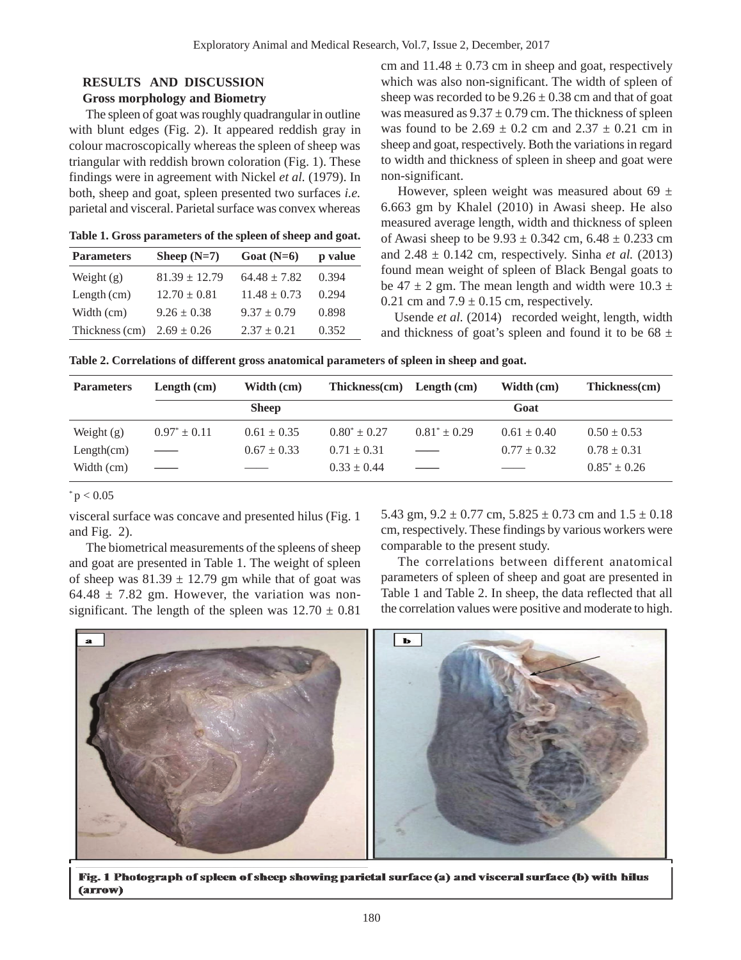## **RESULTS AND DISCUSSION**

### **Gross morphology and Biometry**

The spleen of goat was roughly quadrangular in outline with blunt edges (Fig. 2). It appeared reddish gray in colour macroscopically whereas the spleen of sheep was triangular with reddish brown coloration (Fig. 1). These findings were in agreement with Nickel *et al.* (1979). In both, sheep and goat, spleen presented two surfaces *i.e.* parietal and visceral. Parietal surface was convex whereas

**Table 1. Gross parameters of the spleen of sheep and goat.**

| <b>Parameters</b> | Sheep $(N=7)$     | Goat $(N=6)$     | p value |
|-------------------|-------------------|------------------|---------|
| Weight $(g)$      | $81.39 \pm 12.79$ | $64.48 \pm 7.82$ | 0.394   |
| Length $(cm)$     | $12.70 \pm 0.81$  | $11.48 \pm 0.73$ | 0.294   |
| Width (cm)        | $9.26 \pm 0.38$   | $9.37 \pm 0.79$  | 0.898   |
| Thickness (cm)    | $2.69 \pm 0.26$   | $2.37 + 0.21$    | 0.352   |

cm and  $11.48 \pm 0.73$  cm in sheep and goat, respectively which was also non-significant. The width of spleen of sheep was recorded to be  $9.26 \pm 0.38$  cm and that of goat was measured as  $9.37 \pm 0.79$  cm. The thickness of spleen was found to be  $2.69 \pm 0.2$  cm and  $2.37 \pm 0.21$  cm in sheep and goat, respectively. Both the variations in regard to width and thickness of spleen in sheep and goat were non-significant.

However, spleen weight was measured about 69  $\pm$ 6.663 gm by Khalel (2010) in Awasi sheep. He also measured average length, width and thickness of spleen of Awasi sheep to be  $9.93 \pm 0.342$  cm,  $6.48 \pm 0.233$  cm and  $2.48 \pm 0.142$  cm, respectively. Sinha *et al.* (2013) found mean weight of spleen of Black Bengal goats to be  $47 \pm 2$  gm. The mean length and width were  $10.3 \pm 10.3$ 0.21 cm and  $7.9 \pm 0.15$  cm, respectively.

Usende *et al.* (2014) recorded weight, length, width and thickness of goat's spleen and found it to be  $68 \pm$ 

|  | Table 2. Correlations of different gross anatomical parameters of spleen in sheep and goat. |  |
|--|---------------------------------------------------------------------------------------------|--|
|  |                                                                                             |  |

| <b>Parameters</b> | Length $(cm)$                  | Width (cm)               | $Thickness(cm)$ Length $(cm)$ |                                | Width (cm)      | Thickness(cm)     |
|-------------------|--------------------------------|--------------------------|-------------------------------|--------------------------------|-----------------|-------------------|
|                   |                                | <b>Sheep</b>             |                               |                                | Goat            |                   |
| Weight $(g)$      | $0.97^* \pm 0.11$              | $0.61 \pm 0.35$          | $0.80^* \pm 0.27$             | $0.81^* + 0.29$                | $0.61 \pm 0.40$ | $0.50 \pm 0.53$   |
| Length(cm)        | $\hspace{0.05cm}$              | $0.67 \pm 0.33$          | $0.71 \pm 0.31$               | $\overbrace{\hspace{27mm}}^{}$ | $0.77 \pm 0.32$ | $0.78 \pm 0.31$   |
| Width (cm)        | $\overbrace{\hspace{27mm}}^{}$ | $\overline{\phantom{a}}$ | $0.33 \pm 0.44$               |                                |                 | $0.85^* \pm 0.26$ |

 $p < 0.05$ 

visceral surface was concave and presented hilus (Fig. 1 and Fig. 2).

The biometrical measurements of the spleens of sheep and goat are presented in Table 1. The weight of spleen of sheep was  $81.39 \pm 12.79$  gm while that of goat was 64.48  $\pm$  7.82 gm. However, the variation was nonsignificant. The length of the spleen was  $12.70 \pm 0.81$ 

5.43 gm,  $9.2 \pm 0.77$  cm,  $5.825 \pm 0.73$  cm and  $1.5 \pm 0.18$ cm, respectively. These findings by various workers were comparable to the present study.

The correlations between different anatomical parameters of spleen of sheep and goat are presented in Table 1 and Table 2. In sheep, the data reflected that all the correlation values were positive and moderate to high.



Fig. 1 Photograph of spleen of sheep showing parietal surface (a) and visceral surface (b) with hilus (arrow)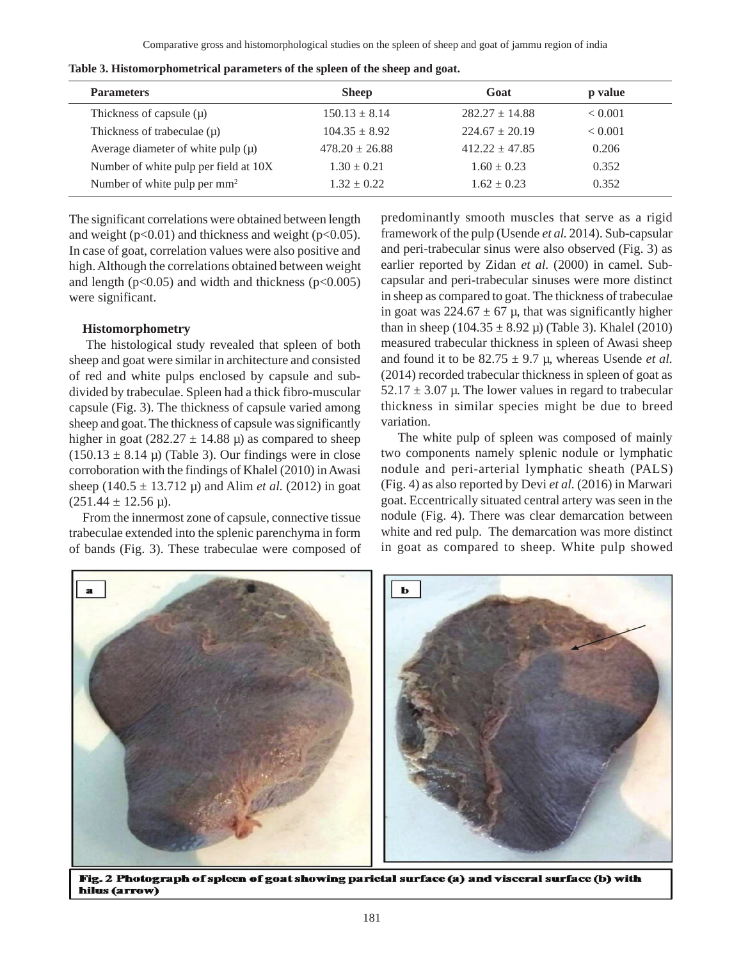| <b>Parameters</b>                        | <b>Sheep</b>       | Goat               | p value |
|------------------------------------------|--------------------|--------------------|---------|
| Thickness of capsule $(\mu)$             | $150.13 \pm 8.14$  | $282.27 + 14.88$   | < 0.001 |
| Thickness of trabeculae $(\mu)$          | $104.35 \pm 8.92$  | $224.67 \pm 20.19$ | < 0.001 |
| Average diameter of white pulp $(\mu)$   | $478.20 \pm 26.88$ | $412.22 + 47.85$   | 0.206   |
| Number of white pulp per field at 10X    | $1.30 \pm 0.21$    | $1.60 \pm 0.23$    | 0.352   |
| Number of white pulp per mm <sup>2</sup> | $1.32 \pm 0.22$    | $1.62 + 0.23$      | 0.352   |

**Table 3. Histomorphometrical parameters of the spleen of the sheep and goat.**

The significant correlations were obtained between length and weight ( $p<0.01$ ) and thickness and weight ( $p<0.05$ ). In case of goat, correlation values were also positive and high. Although the correlations obtained between weight and length ( $p<0.05$ ) and width and thickness ( $p<0.005$ ) were significant.

#### **Histomorphometry**

The histological study revealed that spleen of both sheep and goat were similar in architecture and consisted of red and white pulps enclosed by capsule and subdivided by trabeculae. Spleen had a thick fibro-muscular capsule (Fig. 3). The thickness of capsule varied among sheep and goat. The thickness of capsule was significantly higher in goat (282.27  $\pm$  14.88  $\mu$ ) as compared to sheep  $(150.13 \pm 8.14 \,\mu)$  (Table 3). Our findings were in close corroboration with the findings of Khalel (2010) in Awasi sheep (140.5 ± 13.712 µ) and Alim *et al.* (2012) in goat  $(251.44 \pm 12.56 \,\mu)$ .

From the innermost zone of capsule, connective tissue trabeculae extended into the splenic parenchyma in form of bands (Fig. 3). These trabeculae were composed of predominantly smooth muscles that serve as a rigid framework of the pulp (Usende *et al.* 2014). Sub-capsular and peri-trabecular sinus were also observed (Fig. 3) as earlier reported by Zidan *et al.* (2000) in camel. Subcapsular and peri-trabecular sinuses were more distinct in sheep as compared to goat. The thickness of trabeculae in goat was  $224.67 \pm 67$  µ, that was significantly higher than in sheep  $(104.35 \pm 8.92 \,\mu)$  (Table 3). Khalel (2010) measured trabecular thickness in spleen of Awasi sheep and found it to be  $82.75 \pm 9.7 \mu$ , whereas Usende *et al.* (2014) recorded trabecular thickness in spleen of goat as  $52.17 \pm 3.07$  µ. The lower values in regard to trabecular thickness in similar species might be due to breed variation.

The white pulp of spleen was composed of mainly two components namely splenic nodule or lymphatic nodule and peri-arterial lymphatic sheath (PALS) (Fig. 4) as also reported by Devi *et al.* (2016) in Marwari goat. Eccentrically situated central artery was seen in the nodule (Fig. 4). There was clear demarcation between white and red pulp. The demarcation was more distinct in goat as compared to sheep. White pulp showed



Fig. 2 Photograph of spleen of goat showing parietal surface (a) and visceral surface (b) with hilus (arrow)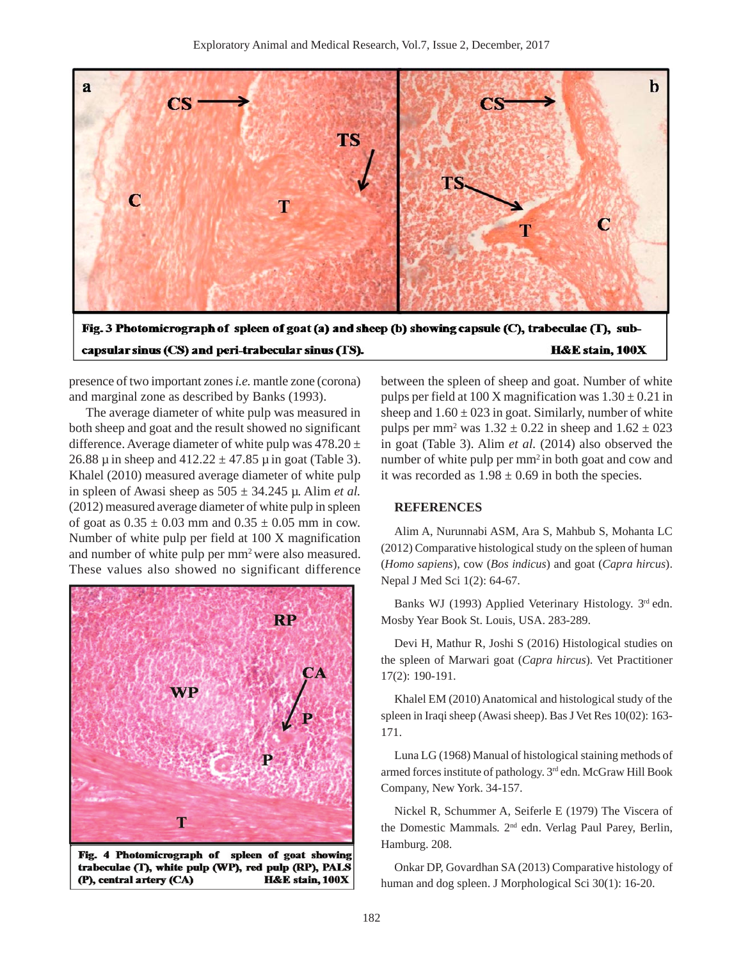

presence of two important zones *i.e.* mantle zone (corona) and marginal zone as described by Banks (1993).

The average diameter of white pulp was measured in both sheep and goat and the result showed no significant difference. Average diameter of white pulp was  $478.20 \pm$ 26.88  $\mu$  in sheep and 412.22  $\pm$  47.85  $\mu$  in goat (Table 3). Khalel (2010) measured average diameter of white pulp in spleen of Awasi sheep as  $505 \pm 34.245$  µ. Alim *et al.* (2012) measured average diameter of white pulp in spleen of goat as  $0.35 \pm 0.03$  mm and  $0.35 \pm 0.05$  mm in cow. Number of white pulp per field at 100 X magnification and number of white pulp per mm<sup>2</sup> were also measured. These values also showed no significant difference



Fig. 4 Photomicrograph of spleen of goat showing trabeculae (T), white pulp (WP), red pulp (RP), PALS (P), central artery (CA) **H&E** stain, 100X

between the spleen of sheep and goat. Number of white pulps per field at 100 X magnification was  $1.30 \pm 0.21$  in sheep and  $1.60 \pm 023$  in goat. Similarly, number of white pulps per mm<sup>2</sup> was  $1.32 \pm 0.22$  in sheep and  $1.62 \pm 0.23$ in goat (Table 3). Alim *et al.* (2014) also observed the number of white pulp per mm<sup>2</sup> in both goat and cow and it was recorded as  $1.98 \pm 0.69$  in both the species.

### **REFERENCES**

Alim A, Nurunnabi ASM, Ara S, Mahbub S, Mohanta LC (2012) Comparative histological study on the spleen of human (*Homo sapiens*), cow (*Bos indicus*) and goat (*Capra hircus*). Nepal J Med Sci 1(2): 64-67.

Banks WJ (1993) Applied Veterinary Histology. 3rd edn. Mosby Year Book St. Louis, USA. 283-289.

Devi H, Mathur R, Joshi S (2016) Histological studies on the spleen of Marwari goat (*Capra hircus*). Vet Practitioner 17(2): 190-191.

Khalel EM (2010) Anatomical and histological study of the spleen in Iraqi sheep (Awasi sheep). Bas J Vet Res 10(02): 163- 171.

Luna LG (1968) Manual of histological staining methods of armed forces institute of pathology. 3rd edn. McGraw Hill Book Company, New York. 34-157.

Nickel R, Schummer A, Seiferle E (1979) The Viscera of the Domestic Mammals*.* 2nd edn. Verlag Paul Parey, Berlin, Hamburg. 208.

Onkar DP, Govardhan SA (2013) Comparative histology of human and dog spleen. J Morphological Sci 30(1): 16-20.